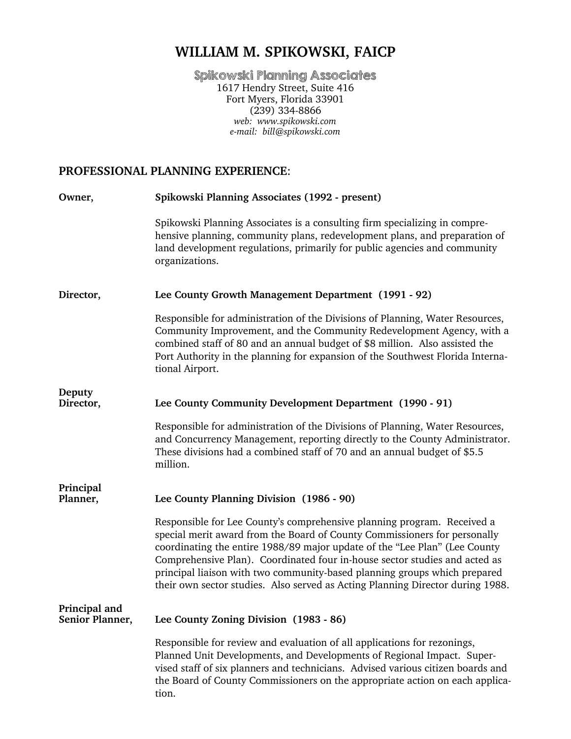# **WILLIAM M. SPIKOWSKI, FAICP**

Spikowski Planning Associates 1617 Hendry Street, Suite 416 Fort Myers, Florida 33901  $(239)$  334-8866 *web: www.spikowski.com e-mail: bill@spikowski.com*

# **PROFESSIONAL PLANNING EXPERIENCE**:

| Owner,                           | Spikowski Planning Associates (1992 - present)                                                                                                                                                                                                                                                                                                                                                                                                                                  |
|----------------------------------|---------------------------------------------------------------------------------------------------------------------------------------------------------------------------------------------------------------------------------------------------------------------------------------------------------------------------------------------------------------------------------------------------------------------------------------------------------------------------------|
|                                  | Spikowski Planning Associates is a consulting firm specializing in compre-<br>hensive planning, community plans, redevelopment plans, and preparation of<br>land development regulations, primarily for public agencies and community<br>organizations.                                                                                                                                                                                                                         |
| Director,                        | Lee County Growth Management Department (1991 - 92)                                                                                                                                                                                                                                                                                                                                                                                                                             |
|                                  | Responsible for administration of the Divisions of Planning, Water Resources,<br>Community Improvement, and the Community Redevelopment Agency, with a<br>combined staff of 80 and an annual budget of \$8 million. Also assisted the<br>Port Authority in the planning for expansion of the Southwest Florida Interna-<br>tional Airport.                                                                                                                                      |
| Deputy<br>Director,              | Lee County Community Development Department (1990 - 91)                                                                                                                                                                                                                                                                                                                                                                                                                         |
|                                  | Responsible for administration of the Divisions of Planning, Water Resources,<br>and Concurrency Management, reporting directly to the County Administrator.<br>These divisions had a combined staff of 70 and an annual budget of \$5.5<br>million.                                                                                                                                                                                                                            |
| Principal<br>Planner,            | Lee County Planning Division (1986 - 90)                                                                                                                                                                                                                                                                                                                                                                                                                                        |
|                                  | Responsible for Lee County's comprehensive planning program. Received a<br>special merit award from the Board of County Commissioners for personally<br>coordinating the entire 1988/89 major update of the "Lee Plan" (Lee County<br>Comprehensive Plan). Coordinated four in-house sector studies and acted as<br>principal liaison with two community-based planning groups which prepared<br>their own sector studies. Also served as Acting Planning Director during 1988. |
| Principal and<br>Senior Planner, | Lee County Zoning Division (1983 - 86)                                                                                                                                                                                                                                                                                                                                                                                                                                          |
|                                  | Responsible for review and evaluation of all applications for rezonings,<br>Planned Unit Developments, and Developments of Regional Impact. Super-<br>vised staff of six planners and technicians. Advised various citizen boards and<br>the Board of County Commissioners on the appropriate action on each applica-<br>tion.                                                                                                                                                  |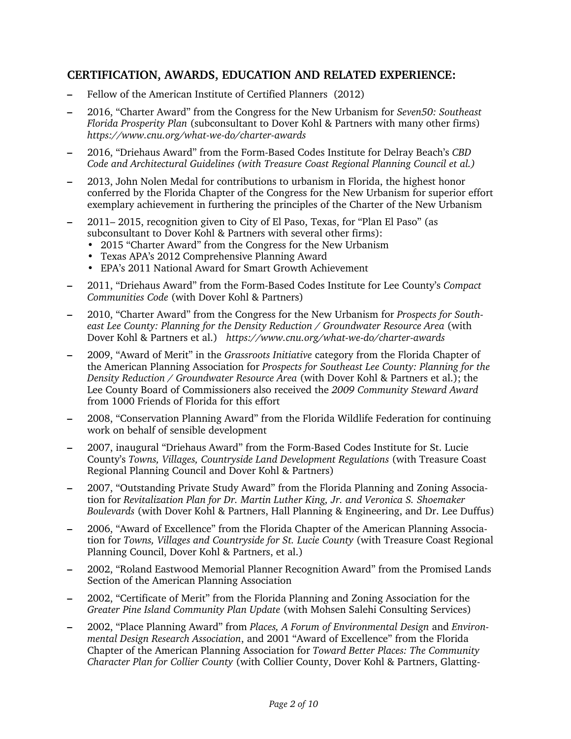#### **CERTIFICATION, AWARDS, EDUCATION AND RELATED EXPERIENCE:**

- Fellow of the American Institute of Certified Planners (2012)
- 2016, "Charter Award" from the Congress for the New Urbanism for *Seven50: Southeast Florida Prosperity Plan* (subconsultant to Dover Kohl & Partners with many other firms) *https://www.cnu.org/what-we-do/charter-awards*
- 2016, "Driehaus Award" from the Form-Based Codes Institute for Delray Beach's *CBD Code and Architectural Guidelines (with Treasure Coast Regional Planning Council et al.)*
- 2013, John Nolen Medal for contributions to urbanism in Florida, the highest honor conferred by the Florida Chapter of the Congress for the New Urbanism for superior effort exemplary achievement in furthering the principles of the Charter of the New Urbanism
- 2011– 2015, recognition given to City of El Paso, Texas, for "Plan El Paso" (as subconsultant to Dover Kohl & Partners with several other firms):
	- 2015 "Charter Award" from the Congress for the New Urbanism
	- Texas APA's 2012 Comprehensive Planning Award
	- EPA's 2011 National Award for Smart Growth Achievement
- 2011, "Driehaus Award" from the Form-Based Codes Institute for Lee County's *Compact Communities Code* (with Dover Kohl & Partners)
- 2010, "Charter Award" from the Congress for the New Urbanism for *Prospects for Southeast Lee County: Planning for the Density Reduction / Groundwater Resource Area* (with Dover Kohl & Partners et al.) *https://www.cnu.org/what-we-do/charter-awards*
- 2009, "Award of Merit" in the *Grassroots Initiative* category from the Florida Chapter of the American Planning Association for *Prospects for Southeast Lee County: Planning for the Density Reduction / Groundwater Resource Area* (with Dover Kohl & Partners et al.); the Lee County Board of Commissioners also received the *2009 Community Steward Award* from 1000 Friends of Florida for this effort
- 2008, "Conservation Planning Award" from the Florida Wildlife Federation for continuing work on behalf of sensible development
- 2007, inaugural "Driehaus Award" from the Form-Based Codes Institute for St. Lucie County's *Towns, Villages, Countryside Land Development Regulations* (with Treasure Coast Regional Planning Council and Dover Kohl & Partners)
- 2007, "Outstanding Private Study Award" from the Florida Planning and Zoning Association for *Revitalization Plan for Dr. Martin Luther King, Jr. and Veronica S. Shoemaker Boulevards* (with Dover Kohl & Partners, Hall Planning & Engineering, and Dr. Lee Duffus)
- 2006, "Award of Excellence" from the Florida Chapter of the American Planning Association for *Towns, Villages and Countryside for St. Lucie County* (with Treasure Coast Regional Planning Council, Dover Kohl & Partners, et al.)
- 2002, "Roland Eastwood Memorial Planner Recognition Award" from the Promised Lands Section of the American Planning Association
- 2002, "Certificate of Merit" from the Florida Planning and Zoning Association for the *Greater Pine Island Community Plan Update* (with Mohsen Salehi Consulting Services)
- 2002, "Place Planning Award" from *Places, A Forum of Environmental Design* and *Environmental Design Research Association*, and 2001 "Award of Excellence" from the Florida Chapter of the American Planning Association for *Toward Better Places: The Community Character Plan for Collier County* (with Collier County, Dover Kohl & Partners, Glatting-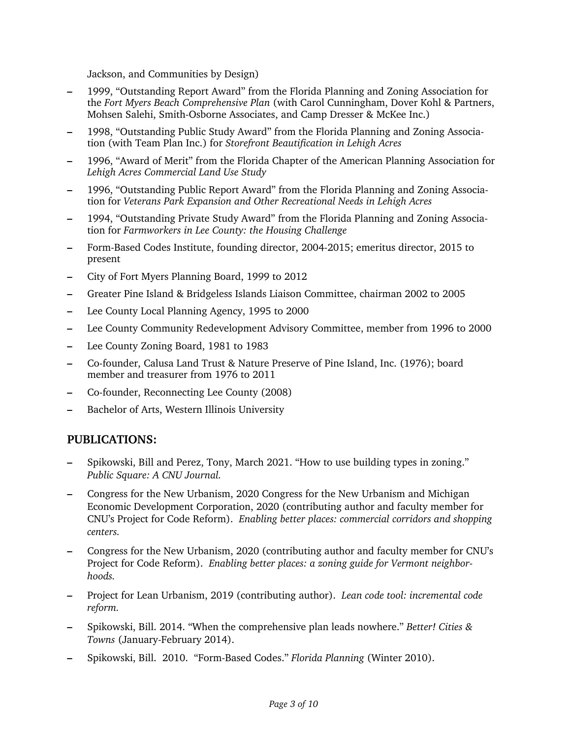Jackson, and Communities by Design)

- 1999, "Outstanding Report Award" from the Florida Planning and Zoning Association for the *Fort Myers Beach Comprehensive Plan* (with Carol Cunningham, Dover Kohl & Partners, Mohsen Salehi, Smith-Osborne Associates, and Camp Dresser & McKee Inc.)
- 1998, "Outstanding Public Study Award" from the Florida Planning and Zoning Association (with Team Plan Inc.) for *Storefront Beautification in Lehigh Acres*
- 1996, "Award of Merit" from the Florida Chapter of the American Planning Association for *Lehigh Acres Commercial Land Use Study*
- 1996, "Outstanding Public Report Award" from the Florida Planning and Zoning Association for *Veterans Park Expansion and Other Recreational Needs in Lehigh Acres*
- 1994, "Outstanding Private Study Award" from the Florida Planning and Zoning Association for *Farmworkers in Lee County: the Housing Challenge*
- Form-Based Codes Institute, founding director, 2004-2015; emeritus director, 2015 to present
- City of Fort Myers Planning Board, 1999 to 2012
- Greater Pine Island & Bridgeless Islands Liaison Committee, chairman 2002 to 2005
- Lee County Local Planning Agency, 1995 to 2000
- Lee County Community Redevelopment Advisory Committee, member from 1996 to 2000
- Lee County Zoning Board, 1981 to 1983
- Co-founder, Calusa Land Trust & Nature Preserve of Pine Island, Inc. (1976); board member and treasurer from 1976 to 2011
- Co-founder, Reconnecting Lee County (2008)
- Bachelor of Arts, Western Illinois University

#### **PUBLICATIONS:**

- Spikowski, Bill and Perez, Tony, March 2021. "How to use building types in zoning." *Public Square: A CNU Journal.*
- Congress for the New Urbanism, 2020 Congress for the New Urbanism and Michigan Economic Development Corporation, 2020 (contributing author and faculty member for CNU's Project for Code Reform). *Enabling better places: commercial corridors and shopping centers.*
- Congress for the New Urbanism, 2020 (contributing author and faculty member for CNU's Project for Code Reform). *Enabling better places: a zoning guide for Vermont neighborhoods.*
- Project for Lean Urbanism, 2019 (contributing author). *Lean code tool: incremental code reform.*
- Spikowski, Bill. 2014. "When the comprehensive plan leads nowhere." *Better! Cities & Towns* (January-February 2014).
- Spikowski, Bill. 2010. "Form-Based Codes." *Florida Planning* (Winter 2010).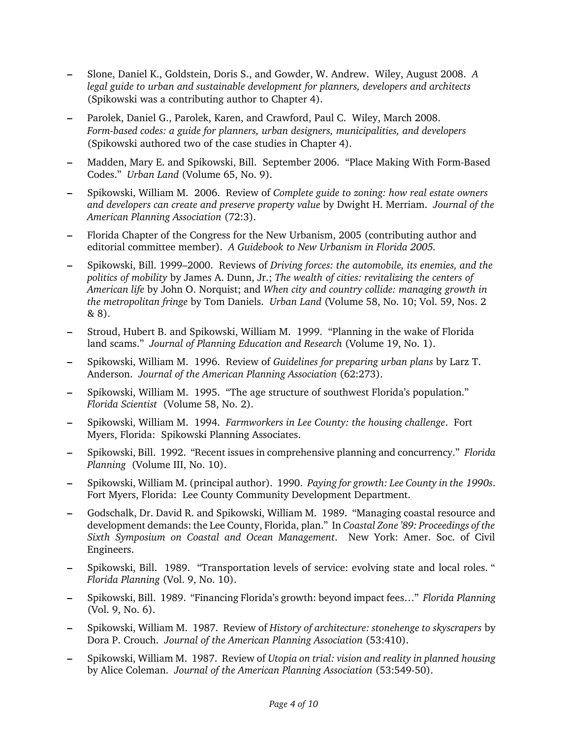- Slone, Daniel K., Goldstein, Doris S., and Gowder, W. Andrew. Wiley, August 2008. *A legal guide to urban and sustainable development for planners, developers and architects*  (Spikowski was a contributing author to Chapter 4).
- Parolek, Daniel G., Parolek, Karen, and Crawford, Paul C. Wiley, March 2008. *Form-based codes: a guide for planners, urban designers, municipalities, and developers* (Spikowski authored two of the case studies in Chapter 4).
- Madden, Mary E. and Spikowski, Bill. September 2006. "Place Making With Form-Based Codes." *Urban Land* (Volume 65, No. 9).
- Spikowski, William M. 2006. Review of *Complete guide to zoning: how real estate owners and developers can create and preserve property value* by Dwight H. Merriam. *Journal of the American Planning Association* (72:3).
- Florida Chapter of the Congress for the New Urbanism, 2005 (contributing author and editorial committee member). *A Guidebook to New Urbanism in Florida 2005.*
- Spikowski, Bill. 1999–2000. Reviews of *Driving forces: the automobile, its enemies, and the politics of mobility* by James A. Dunn, Jr.; *The wealth of cities: revitalizing the centers of American life* by John O. Norquist; and *When city and country collide: managing growth in the metropolitan fringe* by Tom Daniels. *Urban Land* (Volume 58, No. 10; Vol. 59, Nos. 2 & 8).
- Stroud, Hubert B. and Spikowski, William M. 1999. "Planning in the wake of Florida land scams." *Journal of Planning Education and Research* (Volume 19, No. 1).
- Spikowski, William M. 1996. Review of *Guidelines for preparing urban plans* by Larz T. Anderson. *Journal of the American Planning Association* (62:273).
- Spikowski, William M. 1995. "The age structure of southwest Florida's population." *Florida Scientist* (Volume 58, No. 2).
- Spikowski, William M. 1994. *Farmworkers in Lee County: the housing challenge*. Fort Myers, Florida: Spikowski Planning Associates.
- **–** Spikowski, Bill. 1992. "Recent issues in comprehensive planning and concurrency." *Florida Planning* (Volume III, No. 10).
- **–** Spikowski, William M. (principal author). 1990. *Paying for growth: Lee County in the 1990s*. Fort Myers, Florida: Lee County Community Development Department.
- **–** Godschalk, Dr. David R. and Spikowski, William M. 1989. "Managing coastal resource and development demands: the Lee County, Florida, plan." In *Coastal Zone '89: Proceedings of the Sixth Symposium on Coastal and Ocean Management*. New York: Amer. Soc. of Civil Engineers.
- Spikowski, Bill. 1989. "Transportation levels of service: evolving state and local roles. " *Florida Planning* (Vol. 9, No. 10).
- **–** Spikowski, Bill. 1989. "Financing Florida's growth: beyond impact fees…" *Florida Planning* (Vol. 9, No. 6).
- **–** Spikowski, William M. 1987. Review of *History of architecture: stonehenge to skyscrapers* by Dora P. Crouch. *Journal of the American Planning Association* (53:410).
- **–** Spikowski, William M. 1987. Review of *Utopia on trial: vision and reality in planned housing* by Alice Coleman. *Journal of the American Planning Association* (53:549-50).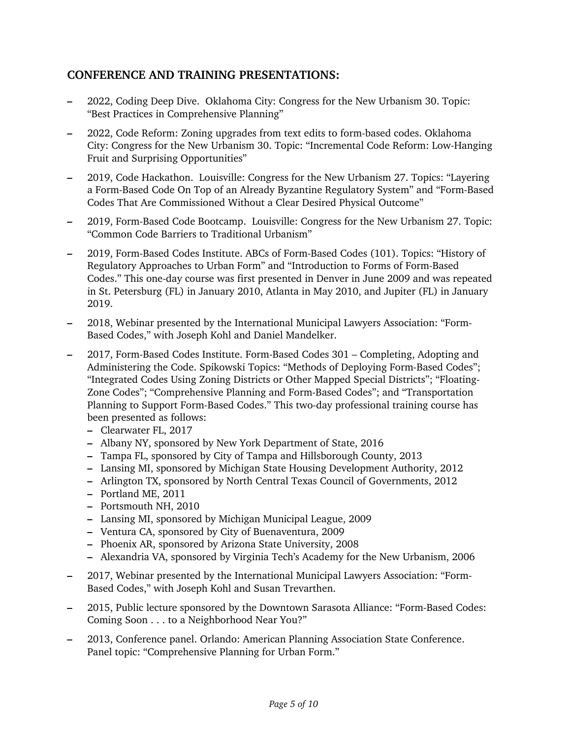### **CONFERENCE AND TRAINING PRESENTATIONS:**

- 2022, Coding Deep Dive. Oklahoma City: Congress for the New Urbanism 30. Topic: "Best Practices in Comprehensive Planning"
- 2022, Code Reform: Zoning upgrades from text edits to form-based codes. Oklahoma City: Congress for the New Urbanism 30. Topic: "Incremental Code Reform: Low-Hanging Fruit and Surprising Opportunities"
- 2019, Code Hackathon. Louisville: Congress for the New Urbanism 27. Topics: "Layering a Form-Based Code On Top of an Already Byzantine Regulatory System" and "Form-Based Codes That Are Commissioned Without a Clear Desired Physical Outcome"
- 2019, Form-Based Code Bootcamp. Louisville: Congress for the New Urbanism 27. Topic: "Common Code Barriers to Traditional Urbanism"
- 2019, Form-Based Codes Institute. ABCs of Form-Based Codes (101). Topics: "History of Regulatory Approaches to Urban Form" and "Introduction to Forms of Form-Based Codes." This one-day course was first presented in Denver in June 2009 and was repeated in St. Petersburg (FL) in January 2010, Atlanta in May 2010, and Jupiter (FL) in January 2019.
- 2018, Webinar presented by the International Municipal Lawyers Association: "Form-Based Codes," with Joseph Kohl and Daniel Mandelker.
- 2017, Form-Based Codes Institute. Form-Based Codes 301 Completing, Adopting and Administering the Code. Spikowski Topics: "Methods of Deploying Form-Based Codes"; "Integrated Codes Using Zoning Districts or Other Mapped Special Districts"; "Floating-Zone Codes"; "Comprehensive Planning and Form-Based Codes"; and "Transportation Planning to Support Form-Based Codes." This two-day professional training course has been presented as follows:
	- Clearwater FL, 2017
	- Albany NY, sponsored by New York Department of State, 2016
	- Tampa FL, sponsored by City of Tampa and Hillsborough County, 2013
	- Lansing MI, sponsored by Michigan State Housing Development Authority, 2012
	- Arlington TX, sponsored by North Central Texas Council of Governments, 2012
	- Portland ME, 2011
	- Portsmouth NH, 2010
	- Lansing MI, sponsored by Michigan Municipal League, 2009
	- Ventura CA, sponsored by City of Buenaventura, 2009
	- Phoenix AR, sponsored by Arizona State University, 2008
	- Alexandria VA, sponsored by Virginia Tech's Academy for the New Urbanism, 2006
- 2017, Webinar presented by the International Municipal Lawyers Association: "Form-Based Codes," with Joseph Kohl and Susan Trevarthen.
- 2015, Public lecture sponsored by the Downtown Sarasota Alliance: "Form-Based Codes: Coming Soon . . . to a Neighborhood Near You?"
- 2013, Conference panel. Orlando: American Planning Association State Conference. Panel topic: "Comprehensive Planning for Urban Form."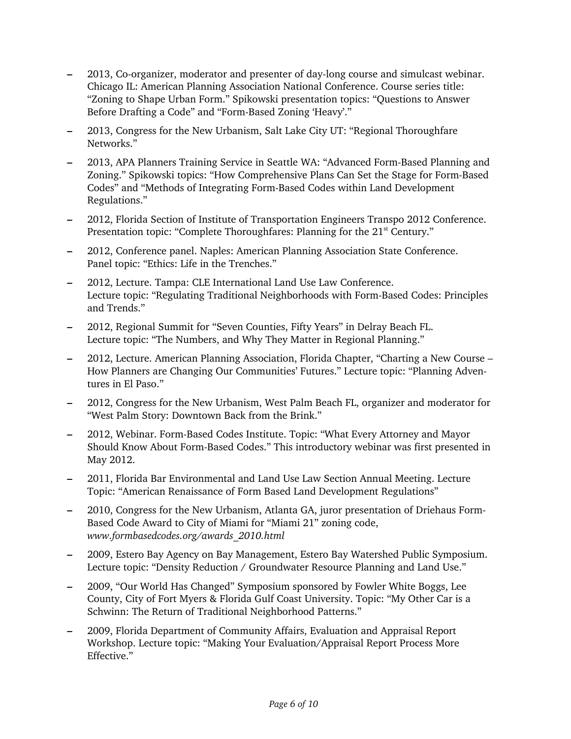- 2013, Co-organizer, moderator and presenter of day-long course and simulcast webinar. Chicago IL: American Planning Association National Conference. Course series title: "Zoning to Shape Urban Form." Spikowski presentation topics: "Questions to Answer Before Drafting a Code" and "Form-Based Zoning 'Heavy'."
- 2013, Congress for the New Urbanism, Salt Lake City UT: "Regional Thoroughfare Networks."
- 2013, APA Planners Training Service in Seattle WA: "Advanced Form-Based Planning and Zoning." Spikowski topics: "How Comprehensive Plans Can Set the Stage for Form-Based Codes" and "Methods of Integrating Form-Based Codes within Land Development Regulations."
- 2012, Florida Section of Institute of Transportation Engineers Transpo 2012 Conference. Presentation topic: "Complete Thoroughfares: Planning for the 21<sup>st</sup> Century."
- 2012, Conference panel. Naples: American Planning Association State Conference. Panel topic: "Ethics: Life in the Trenches."
- 2012, Lecture. Tampa: CLE International Land Use Law Conference. Lecture topic: "Regulating Traditional Neighborhoods with Form-Based Codes: Principles and Trends."
- 2012, Regional Summit for "Seven Counties, Fifty Years" in Delray Beach FL. Lecture topic: "The Numbers, and Why They Matter in Regional Planning."
- 2012, Lecture. American Planning Association, Florida Chapter, "Charting a New Course How Planners are Changing Our Communities' Futures." Lecture topic: "Planning Adventures in El Paso."
- 2012, Congress for the New Urbanism, West Palm Beach FL, organizer and moderator for "West Palm Story: Downtown Back from the Brink."
- 2012, Webinar. Form-Based Codes Institute. Topic: "What Every Attorney and Mayor Should Know About Form-Based Codes." This introductory webinar was first presented in May 2012.
- 2011, Florida Bar Environmental and Land Use Law Section Annual Meeting. Lecture Topic: "American Renaissance of Form Based Land Development Regulations"
- 2010, Congress for the New Urbanism, Atlanta GA, juror presentation of Driehaus Form-Based Code Award to City of Miami for "Miami 21" zoning code, *www.formbasedcodes.org/awards\_2010.html*
- 2009, Estero Bay Agency on Bay Management, Estero Bay Watershed Public Symposium. Lecture topic: "Density Reduction / Groundwater Resource Planning and Land Use."
- 2009, "Our World Has Changed" Symposium sponsored by Fowler White Boggs, Lee County, City of Fort Myers & Florida Gulf Coast University. Topic: "My Other Car is a Schwinn: The Return of Traditional Neighborhood Patterns."
- 2009, Florida Department of Community Affairs, Evaluation and Appraisal Report Workshop. Lecture topic: "Making Your Evaluation/Appraisal Report Process More Effective."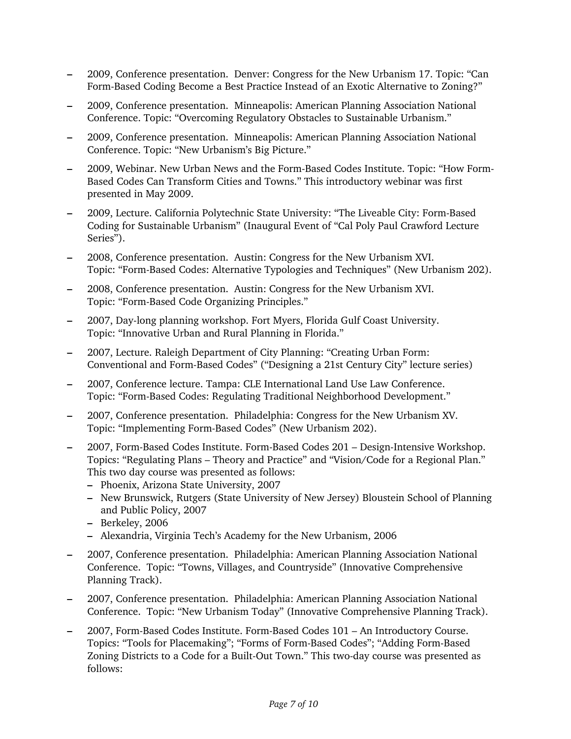- 2009, Conference presentation. Denver: Congress for the New Urbanism 17. Topic: "Can Form-Based Coding Become a Best Practice Instead of an Exotic Alternative to Zoning?"
- 2009, Conference presentation. Minneapolis: American Planning Association National Conference. Topic: "Overcoming Regulatory Obstacles to Sustainable Urbanism."
- 2009, Conference presentation. Minneapolis: American Planning Association National Conference. Topic: "New Urbanism's Big Picture."
- 2009, Webinar. New Urban News and the Form-Based Codes Institute. Topic: "How Form-Based Codes Can Transform Cities and Towns." This introductory webinar was first presented in May 2009.
- 2009, Lecture. California Polytechnic State University: "The Liveable City: Form-Based Coding for Sustainable Urbanism" (Inaugural Event of "Cal Poly Paul Crawford Lecture Series").
- 2008, Conference presentation. Austin: Congress for the New Urbanism XVI. Topic: "Form-Based Codes: Alternative Typologies and Techniques" (New Urbanism 202).
- 2008, Conference presentation. Austin: Congress for the New Urbanism XVI. Topic: "Form-Based Code Organizing Principles."
- 2007, Day-long planning workshop. Fort Myers, Florida Gulf Coast University. Topic: "Innovative Urban and Rural Planning in Florida."
- 2007, Lecture. Raleigh Department of City Planning: "Creating Urban Form: Conventional and Form-Based Codes" ("Designing a 21st Century City" lecture series)
- 2007, Conference lecture. Tampa: CLE International Land Use Law Conference. Topic: "Form-Based Codes: Regulating Traditional Neighborhood Development."
- 2007, Conference presentation. Philadelphia: Congress for the New Urbanism XV. Topic: "Implementing Form-Based Codes" (New Urbanism 202).
- 2007, Form-Based Codes Institute. Form-Based Codes 201 Design-Intensive Workshop. Topics: "Regulating Plans – Theory and Practice" and "Vision/Code for a Regional Plan." This two day course was presented as follows:
	- Phoenix, Arizona State University, 2007
	- New Brunswick, Rutgers (State University of New Jersey) Bloustein School of Planning and Public Policy, 2007
	- Berkeley, 2006
	- Alexandria, Virginia Tech's Academy for the New Urbanism, 2006
- 2007, Conference presentation. Philadelphia: American Planning Association National Conference. Topic: "Towns, Villages, and Countryside" (Innovative Comprehensive Planning Track).
- 2007, Conference presentation. Philadelphia: American Planning Association National Conference. Topic: "New Urbanism Today" (Innovative Comprehensive Planning Track).
- 2007, Form-Based Codes Institute. Form-Based Codes 101 An Introductory Course. Topics: "Tools for Placemaking"; "Forms of Form-Based Codes"; "Adding Form-Based Zoning Districts to a Code for a Built-Out Town." This two-day course was presented as follows: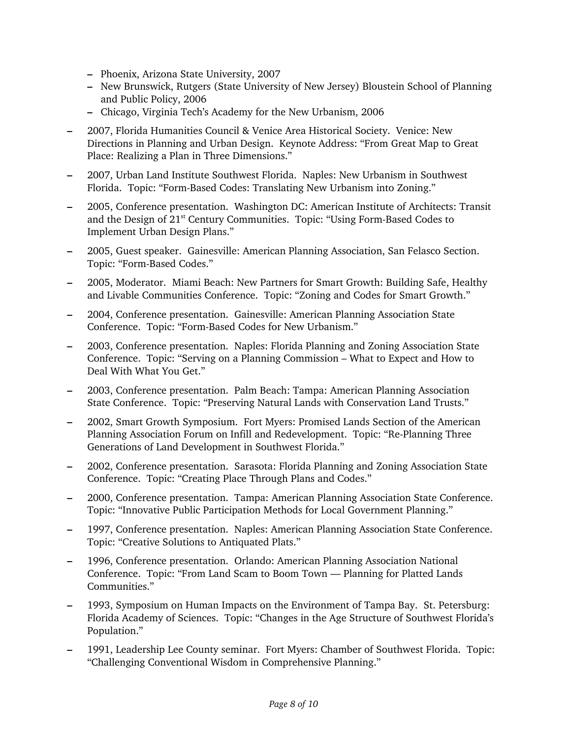- Phoenix, Arizona State University, 2007
- New Brunswick, Rutgers (State University of New Jersey) Bloustein School of Planning and Public Policy, 2006
- Chicago, Virginia Tech's Academy for the New Urbanism, 2006
- 2007, Florida Humanities Council & Venice Area Historical Society. Venice: New Directions in Planning and Urban Design. Keynote Address: "From Great Map to Great Place: Realizing a Plan in Three Dimensions."
- 2007, Urban Land Institute Southwest Florida. Naples: New Urbanism in Southwest Florida. Topic: "Form-Based Codes: Translating New Urbanism into Zoning."
- 2005, Conference presentation. Washington DC: American Institute of Architects: Transit and the Design of  $21<sup>st</sup>$  Century Communities. Topic: "Using Form-Based Codes to Implement Urban Design Plans."
- 2005, Guest speaker. Gainesville: American Planning Association, San Felasco Section. Topic: "Form-Based Codes."
- 2005, Moderator. Miami Beach: New Partners for Smart Growth: Building Safe, Healthy and Livable Communities Conference. Topic: "Zoning and Codes for Smart Growth."
- 2004, Conference presentation. Gainesville: American Planning Association State Conference. Topic: "Form-Based Codes for New Urbanism."
- 2003, Conference presentation. Naples: Florida Planning and Zoning Association State Conference. Topic: "Serving on a Planning Commission – What to Expect and How to Deal With What You Get."
- 2003, Conference presentation. Palm Beach: Tampa: American Planning Association State Conference. Topic: "Preserving Natural Lands with Conservation Land Trusts."
- 2002, Smart Growth Symposium. Fort Myers: Promised Lands Section of the American Planning Association Forum on Infill and Redevelopment. Topic: "Re-Planning Three Generations of Land Development in Southwest Florida."
- 2002, Conference presentation. Sarasota: Florida Planning and Zoning Association State Conference. Topic: "Creating Place Through Plans and Codes."
- 2000, Conference presentation. Tampa: American Planning Association State Conference. Topic: "Innovative Public Participation Methods for Local Government Planning."
- 1997, Conference presentation. Naples: American Planning Association State Conference. Topic: "Creative Solutions to Antiquated Plats."
- 1996, Conference presentation. Orlando: American Planning Association National Conference. Topic: "From Land Scam to Boom Town — Planning for Platted Lands Communities."
- 1993, Symposium on Human Impacts on the Environment of Tampa Bay. St. Petersburg: Florida Academy of Sciences. Topic: "Changes in the Age Structure of Southwest Florida's Population."
- 1991, Leadership Lee County seminar. Fort Myers: Chamber of Southwest Florida. Topic: "Challenging Conventional Wisdom in Comprehensive Planning."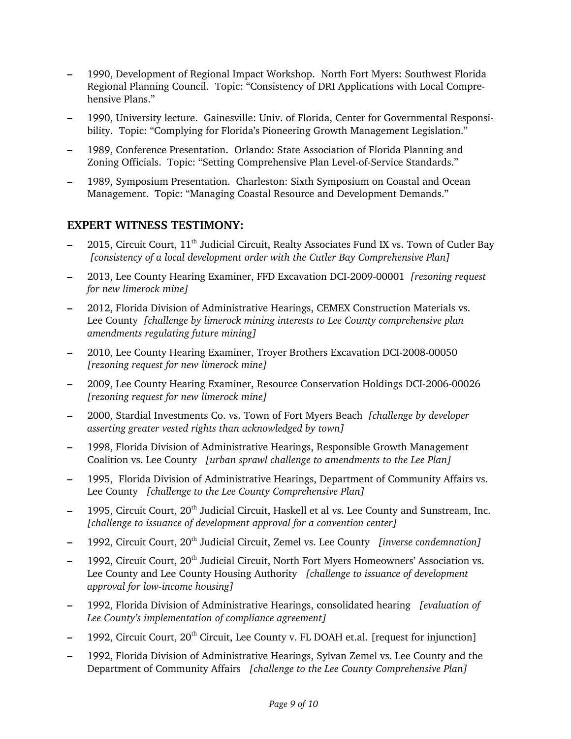- 1990, Development of Regional Impact Workshop. North Fort Myers: Southwest Florida Regional Planning Council. Topic: "Consistency of DRI Applications with Local Comprehensive Plans."
- 1990, University lecture. Gainesville: Univ. of Florida, Center for Governmental Responsibility. Topic: "Complying for Florida's Pioneering Growth Management Legislation."
- 1989, Conference Presentation. Orlando: State Association of Florida Planning and Zoning Officials. Topic: "Setting Comprehensive Plan Level-of-Service Standards."
- 1989, Symposium Presentation. Charleston: Sixth Symposium on Coastal and Ocean Management. Topic: "Managing Coastal Resource and Development Demands."

## **EXPERT WITNESS TESTIMONY:**

- 2015, Circuit Court, 11th Judicial Circuit, Realty Associates Fund IX vs. Town of Cutler Bay *[consistency of a local development order with the Cutler Bay Comprehensive Plan]*
- 2013, Lee County Hearing Examiner, FFD Excavation DCI-2009-00001 *[rezoning request for new limerock mine]*
- 2012, Florida Division of Administrative Hearings, CEMEX Construction Materials vs. Lee County *[challenge by limerock mining interests to Lee County comprehensive plan amendments regulating future mining]*
- 2010, Lee County Hearing Examiner, Troyer Brothers Excavation DCI-2008-00050 *[rezoning request for new limerock mine]*
- 2009, Lee County Hearing Examiner, Resource Conservation Holdings DCI-2006-00026 *[rezoning request for new limerock mine]*
- 2000, Stardial Investments Co. vs. Town of Fort Myers Beach *[challenge by developer asserting greater vested rights than acknowledged by town]*
- 1998, Florida Division of Administrative Hearings, Responsible Growth Management Coalition vs. Lee County *[urban sprawl challenge to amendments to the Lee Plan]*
- 1995, Florida Division of Administrative Hearings, Department of Community Affairs vs. Lee County *[challenge to the Lee County Comprehensive Plan]*
- 1995, Circuit Court, 20<sup>th</sup> Judicial Circuit, Haskell et al vs. Lee County and Sunstream, Inc. *[challenge to issuance of development approval for a convention center]*
- 1992, Circuit Court, 20th Judicial Circuit, Zemel vs. Lee County *[inverse condemnation]*
- 1992, Circuit Court, 20<sup>th</sup> Judicial Circuit, North Fort Myers Homeowners' Association vs. Lee County and Lee County Housing Authority *[challenge to issuance of development approval for low-income housing]*
- 1992, Florida Division of Administrative Hearings, consolidated hearing *[evaluation of Lee County's implementation of compliance agreement]*
- <sup>-</sup> 1992, Circuit Court, 20<sup>th</sup> Circuit, Lee County v. FL DOAH et.al. [request for injunction]
- 1992, Florida Division of Administrative Hearings, Sylvan Zemel vs. Lee County and the Department of Community Affairs *[challenge to the Lee County Comprehensive Plan]*